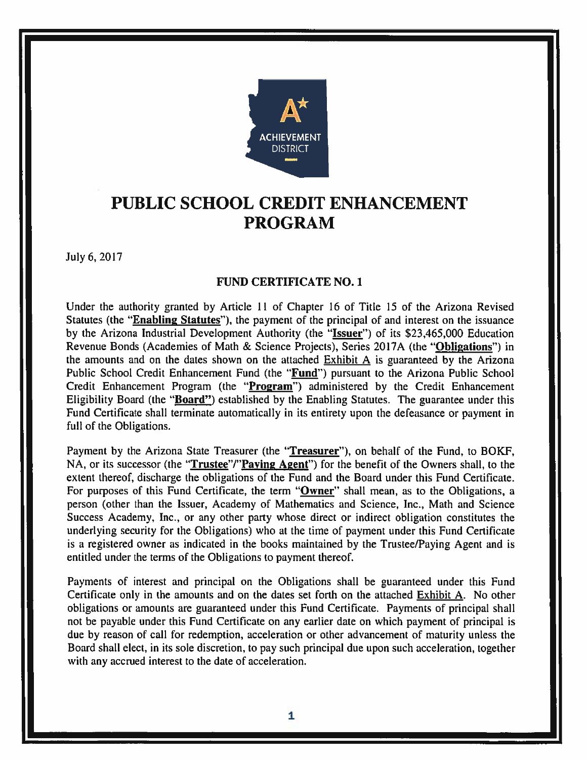

# PUBLIC SCHOOL CREDIT ENHANCEMENT **PROGRAM**

July 6, 2017

#### **FUND CERTIFICATE NO. 1**

Under the authority granted by Article 11 of Chapter 16 of Title 15 of the Arizona Revised Statutes (the "Enabling Statutes"), the payment of the principal of and interest on the issuance by the Arizona Industrial Development Authority (the "Issuer") of its \$23,465,000 Education Revenue Bonds (Academies of Math & Science Projects), Series 2017A (the "Obligations") in the amounts and on the dates shown on the attached Exhibit A is guaranteed by the Arizona Public School Credit Enhancement Fund (the "Fund") pursuant to the Arizona Public School Credit Enhancement Program (the "Program") administered by the Credit Enhancement Eligibility Board (the "Board") established by the Enabling Statutes. The guarantee under this Fund Certificate shall terminate automatically in its entirety upon the defeasance or payment in full of the Obligations.

Payment by the Arizona State Treasurer (the "Treasurer"), on behalf of the Fund, to BOKF, NA, or its successor (the "Trustee"/"Paying Agent") for the benefit of the Owners shall, to the extent thereof, discharge the obligations of the Fund and the Board under this Fund Certificate. For purposes of this Fund Certificate, the term "Owner" shall mean, as to the Obligations, a person (other than the Issuer, Academy of Mathematics and Science, Inc., Math and Science Success Academy, Inc., or any other party whose direct or indirect obligation constitutes the underlying security for the Obligations) who at the time of payment under this Fund Certificate is a registered owner as indicated in the books maintained by the Trustee/Paying Agent and is entitled under the terms of the Obligations to payment thereof.

Payments of interest and principal on the Obligations shall be guaranteed under this Fund Certificate only in the amounts and on the dates set forth on the attached Exhibit A. No other obligations or amounts are guaranteed under this Fund Certificate. Payments of principal shall not be payable under this Fund Certificate on any earlier date on which payment of principal is due by reason of call for redemption, acceleration or other advancement of maturity unless the Board shall elect, in its sole discretion, to pay such principal due upon such acceleration, together with any accrued interest to the date of acceleration.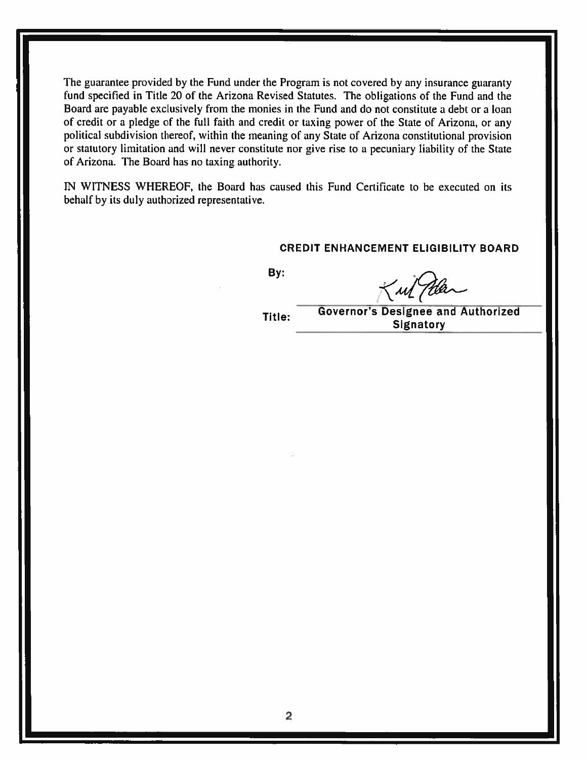The guarantee provided by the Fund under the Program is not covered by any insurance guaranty fund specified in Title 20 of the Arizona Revised Statutes. The obligations of the Fund and the Board are payable exclusively from the monies in the Fund and do not constitute a debt or a loan of credit or a pledge of the full faith and credit or taxing power of the State of Arizona, or any political subdivision thereof, within the meaning of any State of Arizona constitutional provision or statutory limitation and will never constitute nor give rise to a pecuniary liability of the State of Arizona. The Board has no taxing authority.

IN WITNESS WHEREOF, the Board has caused this Fund Certificate to be executed on its behalf by its duly authorized representative.

#### **CREDIT ENHANCEMENT ELIGIBILITY BOARD**

By:

Kul Man

Title:

**Governor's Designee and Authorized Signatory**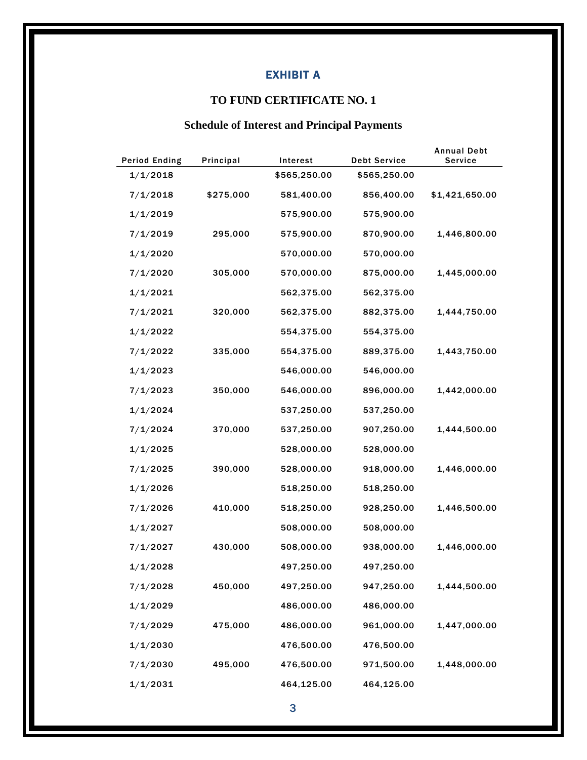## EXHIBIT A

### **TO FUND CERTIFICATE NO. 1**

## **Schedule of Interest and Principal Payments**

| <b>Period Ending</b> | Principal | Interest     | <b>Debt Service</b> | <b>Annual Debt</b><br><b>Service</b> |
|----------------------|-----------|--------------|---------------------|--------------------------------------|
| 1/1/2018             |           | \$565,250.00 | \$565,250.00        |                                      |
| 7/1/2018             | \$275,000 | 581,400.00   | 856,400.00          | \$1,421,650.00                       |
| 1/1/2019             |           | 575,900.00   | 575,900.00          |                                      |
| 7/1/2019             | 295,000   | 575,900.00   | 870,900.00          | 1,446,800.00                         |
| 1/1/2020             |           | 570,000.00   | 570,000.00          |                                      |
| 7/1/2020             | 305,000   | 570,000.00   | 875,000.00          | 1,445,000.00                         |
| 1/1/2021             |           | 562,375.00   | 562,375.00          |                                      |
| 7/1/2021             | 320,000   | 562,375.00   | 882,375.00          | 1,444,750.00                         |
| 1/1/2022             |           | 554,375.00   | 554,375.00          |                                      |
| 7/1/2022             | 335,000   | 554,375.00   | 889,375.00          | 1,443,750.00                         |
| 1/1/2023             |           | 546,000.00   | 546,000.00          |                                      |
| 7/1/2023             | 350,000   | 546,000.00   | 896,000.00          | 1,442,000.00                         |
| 1/1/2024             |           | 537,250.00   | 537,250.00          |                                      |
| 7/1/2024             | 370,000   | 537,250.00   | 907,250.00          | 1,444,500.00                         |
| 1/1/2025             |           | 528,000.00   | 528,000.00          |                                      |
| 7/1/2025             | 390,000   | 528,000.00   | 918,000.00          | 1,446,000.00                         |
| 1/1/2026             |           | 518,250.00   | 518,250.00          |                                      |
| 7/1/2026             | 410,000   | 518,250.00   | 928,250.00          | 1,446,500.00                         |
| 1/1/2027             |           | 508,000.00   | 508,000.00          |                                      |
| 7/1/2027             | 430,000   | 508,000.00   | 938,000.00          | 1,446,000.00                         |
| 1/1/2028             |           | 497,250.00   | 497,250.00          |                                      |
| 7/1/2028             | 450,000   | 497,250.00   | 947,250.00          | 1,444,500.00                         |
| 1/1/2029             |           | 486,000.00   | 486,000.00          |                                      |
| 7/1/2029             | 475,000   | 486,000.00   | 961,000.00          | 1,447,000.00                         |
| 1/1/2030             |           | 476,500.00   | 476,500.00          |                                      |
| 7/1/2030             | 495,000   | 476,500.00   | 971,500.00          | 1,448,000.00                         |
| 1/1/2031             |           | 464,125.00   | 464,125.00          |                                      |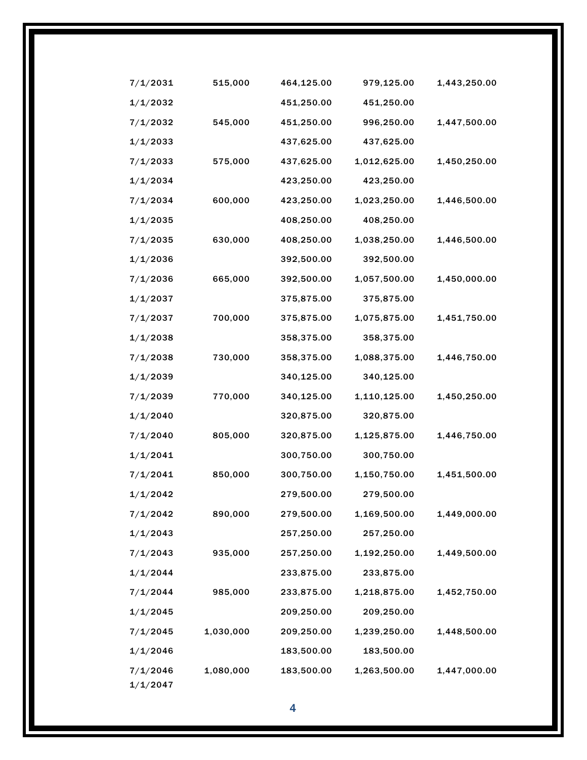| 7/1/2031 | 515,000   | 464,125.00 | 979,125.00   | 1,443,250.00 |
|----------|-----------|------------|--------------|--------------|
| 1/1/2032 |           | 451,250.00 | 451,250.00   |              |
| 7/1/2032 | 545,000   | 451,250.00 | 996,250.00   | 1,447,500.00 |
| 1/1/2033 |           | 437,625.00 | 437,625.00   |              |
| 7/1/2033 | 575,000   | 437,625.00 | 1,012,625.00 | 1,450,250.00 |
| 1/1/2034 |           | 423,250.00 | 423,250.00   |              |
| 7/1/2034 | 600,000   | 423,250.00 | 1,023,250.00 | 1,446,500.00 |
| 1/1/2035 |           | 408,250.00 | 408,250.00   |              |
| 7/1/2035 | 630,000   | 408,250.00 | 1,038,250.00 | 1,446,500.00 |
| 1/1/2036 |           | 392,500.00 | 392,500.00   |              |
| 7/1/2036 | 665,000   | 392,500.00 | 1,057,500.00 | 1,450,000.00 |
| 1/1/2037 |           | 375,875.00 | 375,875.00   |              |
| 7/1/2037 | 700,000   | 375,875.00 | 1,075,875.00 | 1,451,750.00 |
| 1/1/2038 |           | 358,375.00 | 358,375.00   |              |
| 7/1/2038 | 730,000   | 358,375.00 | 1,088,375.00 | 1,446,750.00 |
| 1/1/2039 |           | 340,125.00 | 340,125.00   |              |
| 7/1/2039 | 770,000   | 340,125.00 | 1,110,125.00 | 1,450,250.00 |
| 1/1/2040 |           | 320,875.00 | 320,875.00   |              |
| 7/1/2040 | 805,000   | 320,875.00 | 1,125,875.00 | 1,446,750.00 |
| 1/1/2041 |           | 300,750.00 | 300,750.00   |              |
| 7/1/2041 | 850,000   | 300,750.00 | 1,150,750.00 | 1,451,500.00 |
| 1/1/2042 |           | 279,500.00 | 279,500.00   |              |
| 7/1/2042 | 890,000   | 279,500.00 | 1,169,500.00 | 1,449,000.00 |
| 1/1/2043 |           | 257,250.00 | 257,250.00   |              |
| 7/1/2043 | 935,000   | 257,250.00 | 1,192,250.00 | 1,449,500.00 |
| 1/1/2044 |           | 233,875.00 | 233,875.00   |              |
| 7/1/2044 | 985,000   | 233,875.00 | 1,218,875.00 | 1,452,750.00 |
| 1/1/2045 |           | 209,250.00 | 209,250.00   |              |
| 7/1/2045 | 1,030,000 | 209,250.00 | 1,239,250.00 | 1,448,500.00 |
| 1/1/2046 |           | 183,500.00 | 183,500.00   |              |
| 7/1/2046 | 1,080,000 | 183,500.00 | 1,263,500.00 | 1,447,000.00 |
| 1/1/2047 |           |            |              |              |